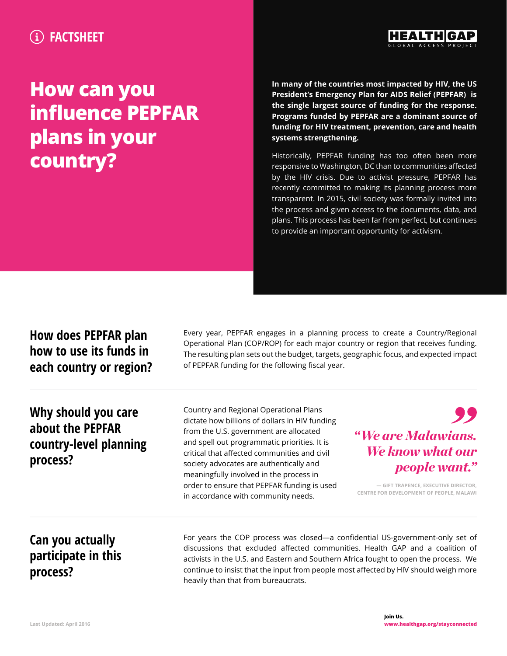## **FACTSHEET**



## **How can you influence PEPFAR plans in your country?**

**In many of the countries most impacted by HIV, the US President's Emergency Plan for AIDS Relief (PEPFAR) is the single largest source of funding for the response. Programs funded by PEPFAR are a dominant source of funding for HIV treatment, prevention, care and health systems strengthening.**

Historically, PEPFAR funding has too often been more responsive to Washington, DC than to communities affected by the HIV crisis. Due to [activist pressure](https://d3n8a8pro7vhmx.cloudfront.net/healthgap/pages/249/attachments/original/1439601161/A.Comment_in_the_Lancet.pdf?1439601161), PEPFAR has recently committed to making its planning process more transparent. In 2015, civil society was formally invited into the process and given access to the documents, data, and plans. This process has been far from perfect, but continues to provide an important opportunity for activism.

| How does PEPFAR plan<br>how to use its funds in<br>each country or region?    | Every year, PEPFAR engages in a planning process to create a Country/Regional<br>Operational Plan (COP/ROP) for each major country or region that receives funding.<br>The resulting plan sets out the budget, targets, geographic focus, and expected impact<br>of PEPFAR funding for the following fiscal year.                                                                                              |                                                                                                                                                     |
|-------------------------------------------------------------------------------|----------------------------------------------------------------------------------------------------------------------------------------------------------------------------------------------------------------------------------------------------------------------------------------------------------------------------------------------------------------------------------------------------------------|-----------------------------------------------------------------------------------------------------------------------------------------------------|
| Why should you care<br>about the PEPFAR<br>country-level planning<br>process? | Country and Regional Operational Plans<br>dictate how billions of dollars in HIV funding<br>from the U.S. government are allocated<br>and spell out programmatic priorities. It is<br>critical that affected communities and civil<br>society advocates are authentically and<br>meaningfully involved in the process in<br>order to ensure that PEPFAR funding is used<br>in accordance with community needs. | "We are Malawians.<br>We know what our<br><i>people want.</i> "<br>- GIFT TRAPENCE, EXECUTIVE DIRECTOR,<br>CENTRE FOR DEVELOPMENT OF PEOPLE, MALAWI |
| Can you actually<br>participate in this<br>process?                           | For years the COP process was closed-a confidential US-government-only set of<br>discussions that excluded affected communities. Health GAP and a coalition of<br>activists in the U.S. and Eastern and Southern Africa fought to open the process. We<br>continue to insist that the input from people most affected by HIV should weigh more<br>heavily than that from bureaucrats.                          |                                                                                                                                                     |